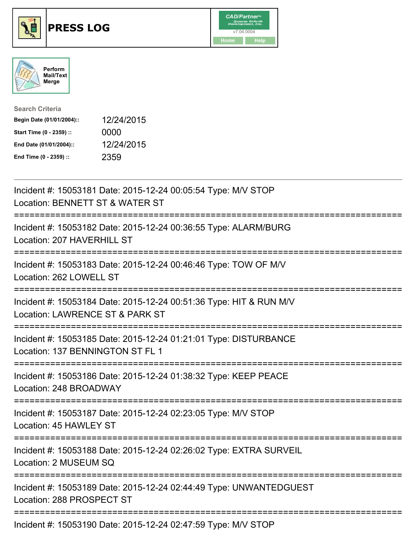





| <b>Search Criteria</b>    |            |
|---------------------------|------------|
| Begin Date (01/01/2004):: | 12/24/2015 |
| Start Time (0 - 2359) ::  | 0000       |
| End Date (01/01/2004)::   | 12/24/2015 |
| End Time (0 - 2359) ::    | 2359       |

| Incident #: 15053181 Date: 2015-12-24 00:05:54 Type: M/V STOP<br>Location: BENNETT ST & WATER ST                                   |
|------------------------------------------------------------------------------------------------------------------------------------|
| Incident #: 15053182 Date: 2015-12-24 00:36:55 Type: ALARM/BURG<br>Location: 207 HAVERHILL ST                                      |
| Incident #: 15053183 Date: 2015-12-24 00:46:46 Type: TOW OF M/V<br>Location: 262 LOWELL ST<br>-----------------                    |
| Incident #: 15053184 Date: 2015-12-24 00:51:36 Type: HIT & RUN M/V<br>Location: LAWRENCE ST & PARK ST                              |
| Incident #: 15053185 Date: 2015-12-24 01:21:01 Type: DISTURBANCE<br>Location: 137 BENNINGTON ST FL 1<br>========================   |
| Incident #: 15053186 Date: 2015-12-24 01:38:32 Type: KEEP PEACE<br>Location: 248 BROADWAY<br>===================================== |
| Incident #: 15053187 Date: 2015-12-24 02:23:05 Type: M/V STOP<br>Location: 45 HAWLEY ST                                            |
| Incident #: 15053188 Date: 2015-12-24 02:26:02 Type: EXTRA SURVEIL<br>Location: 2 MUSEUM SQ                                        |
| Incident #: 15053189 Date: 2015-12-24 02:44:49 Type: UNWANTEDGUEST<br>Location: 288 PROSPECT ST                                    |
| Incident #: 15053190 Date: 2015-12-24 02:47:59 Type: M/V STOP                                                                      |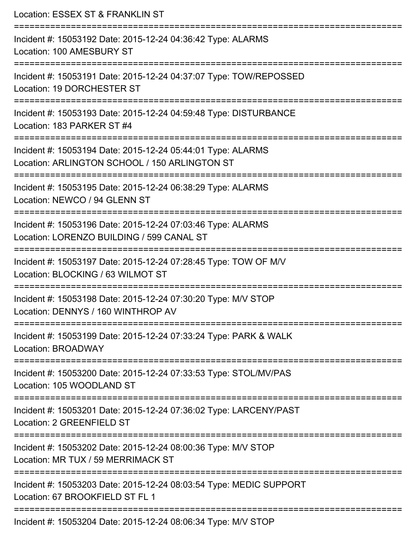| Location: ESSEX ST & FRANKLIN ST<br>=========================                                                                          |
|----------------------------------------------------------------------------------------------------------------------------------------|
| Incident #: 15053192 Date: 2015-12-24 04:36:42 Type: ALARMS<br>Location: 100 AMESBURY ST                                               |
| Incident #: 15053191 Date: 2015-12-24 04:37:07 Type: TOW/REPOSSED<br>Location: 19 DORCHESTER ST<br>----------------------------------- |
| Incident #: 15053193 Date: 2015-12-24 04:59:48 Type: DISTURBANCE<br>Location: 183 PARKER ST #4                                         |
| Incident #: 15053194 Date: 2015-12-24 05:44:01 Type: ALARMS<br>Location: ARLINGTON SCHOOL / 150 ARLINGTON ST                           |
| Incident #: 15053195 Date: 2015-12-24 06:38:29 Type: ALARMS<br>Location: NEWCO / 94 GLENN ST                                           |
| Incident #: 15053196 Date: 2015-12-24 07:03:46 Type: ALARMS<br>Location: LORENZO BUILDING / 599 CANAL ST                               |
| Incident #: 15053197 Date: 2015-12-24 07:28:45 Type: TOW OF M/V<br>Location: BLOCKING / 63 WILMOT ST                                   |
| Incident #: 15053198 Date: 2015-12-24 07:30:20 Type: M/V STOP<br>Location: DENNYS / 160 WINTHROP AV                                    |
| Incident #: 15053199 Date: 2015-12-24 07:33:24 Type: PARK & WALK<br>Location: BROADWAY                                                 |
| Incident #: 15053200 Date: 2015-12-24 07:33:53 Type: STOL/MV/PAS<br>Location: 105 WOODLAND ST                                          |
| Incident #: 15053201 Date: 2015-12-24 07:36:02 Type: LARCENY/PAST<br>Location: 2 GREENFIELD ST                                         |
| Incident #: 15053202 Date: 2015-12-24 08:00:36 Type: M/V STOP<br>Location: MR TUX / 59 MERRIMACK ST                                    |
| Incident #: 15053203 Date: 2015-12-24 08:03:54 Type: MEDIC SUPPORT<br>Location: 67 BROOKFIELD ST FL 1                                  |
| Incident #: 15053204 Date: 2015-12-24 08:06:34 Type: M/V STOP                                                                          |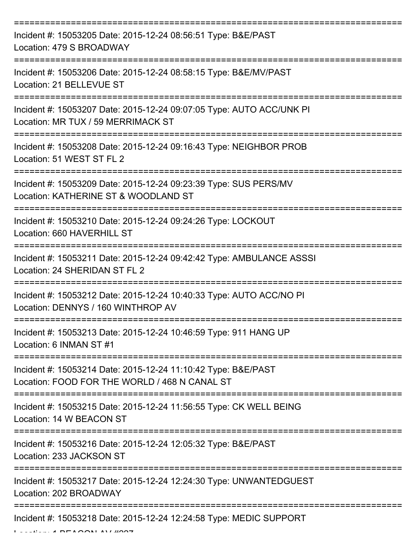| Incident #: 15053205 Date: 2015-12-24 08:56:51 Type: B&E/PAST<br>Location: 479 S BROADWAY                      |
|----------------------------------------------------------------------------------------------------------------|
| Incident #: 15053206 Date: 2015-12-24 08:58:15 Type: B&E/MV/PAST<br>Location: 21 BELLEVUE ST                   |
| Incident #: 15053207 Date: 2015-12-24 09:07:05 Type: AUTO ACC/UNK PI<br>Location: MR TUX / 59 MERRIMACK ST     |
| Incident #: 15053208 Date: 2015-12-24 09:16:43 Type: NEIGHBOR PROB<br>Location: 51 WEST ST FL 2                |
| Incident #: 15053209 Date: 2015-12-24 09:23:39 Type: SUS PERS/MV<br>Location: KATHERINE ST & WOODLAND ST       |
| Incident #: 15053210 Date: 2015-12-24 09:24:26 Type: LOCKOUT<br>Location: 660 HAVERHILL ST                     |
| Incident #: 15053211 Date: 2015-12-24 09:42:42 Type: AMBULANCE ASSSI<br>Location: 24 SHERIDAN ST FL 2          |
| Incident #: 15053212 Date: 2015-12-24 10:40:33 Type: AUTO ACC/NO PI<br>Location: DENNYS / 160 WINTHROP AV      |
| Incident #: 15053213 Date: 2015-12-24 10:46:59 Type: 911 HANG UP<br>Location: 6 INMAN ST #1                    |
| Incident #: 15053214 Date: 2015-12-24 11:10:42 Type: B&E/PAST<br>Location: FOOD FOR THE WORLD / 468 N CANAL ST |
| Incident #: 15053215 Date: 2015-12-24 11:56:55 Type: CK WELL BEING<br>Location: 14 W BEACON ST                 |
| Incident #: 15053216 Date: 2015-12-24 12:05:32 Type: B&E/PAST<br>Location: 233 JACKSON ST                      |
| Incident #: 15053217 Date: 2015-12-24 12:24:30 Type: UNWANTEDGUEST<br>Location: 202 BROADWAY                   |
| Incident #: 15053218 Date: 2015-12-24 12:24:58 Type: MEDIC SUPPORT                                             |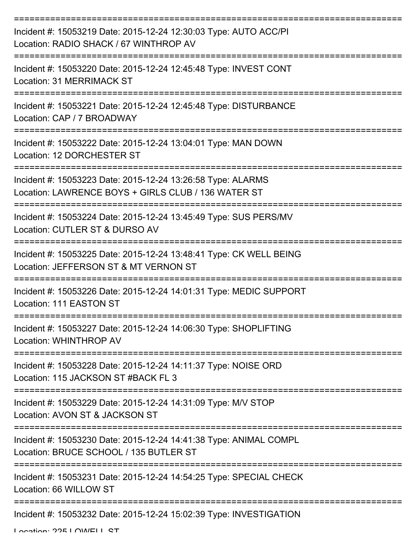| Incident #: 15053219 Date: 2015-12-24 12:30:03 Type: AUTO ACC/PI<br>Location: RADIO SHACK / 67 WINTHROP AV         |
|--------------------------------------------------------------------------------------------------------------------|
| Incident #: 15053220 Date: 2015-12-24 12:45:48 Type: INVEST CONT<br>Location: 31 MERRIMACK ST                      |
| Incident #: 15053221 Date: 2015-12-24 12:45:48 Type: DISTURBANCE<br>Location: CAP / 7 BROADWAY                     |
| Incident #: 15053222 Date: 2015-12-24 13:04:01 Type: MAN DOWN<br>Location: 12 DORCHESTER ST                        |
| Incident #: 15053223 Date: 2015-12-24 13:26:58 Type: ALARMS<br>Location: LAWRENCE BOYS + GIRLS CLUB / 136 WATER ST |
| Incident #: 15053224 Date: 2015-12-24 13:45:49 Type: SUS PERS/MV<br>Location: CUTLER ST & DURSO AV                 |
| Incident #: 15053225 Date: 2015-12-24 13:48:41 Type: CK WELL BEING<br>Location: JEFFERSON ST & MT VERNON ST        |
| Incident #: 15053226 Date: 2015-12-24 14:01:31 Type: MEDIC SUPPORT<br>Location: 111 EASTON ST                      |
| Incident #: 15053227 Date: 2015-12-24 14:06:30 Type: SHOPLIFTING<br>Location: WHINTHROP AV                         |
| Incident #: 15053228 Date: 2015-12-24 14:11:37 Type: NOISE ORD<br>Location: 115 JACKSON ST #BACK FL 3              |
| Incident #: 15053229 Date: 2015-12-24 14:31:09 Type: M/V STOP<br>Location: AVON ST & JACKSON ST                    |
| Incident #: 15053230 Date: 2015-12-24 14:41:38 Type: ANIMAL COMPL<br>Location: BRUCE SCHOOL / 135 BUTLER ST        |
| Incident #: 15053231 Date: 2015-12-24 14:54:25 Type: SPECIAL CHECK<br>Location: 66 WILLOW ST                       |
| Incident #: 15053232 Date: 2015-12-24 15:02:39 Type: INVESTIGATION                                                 |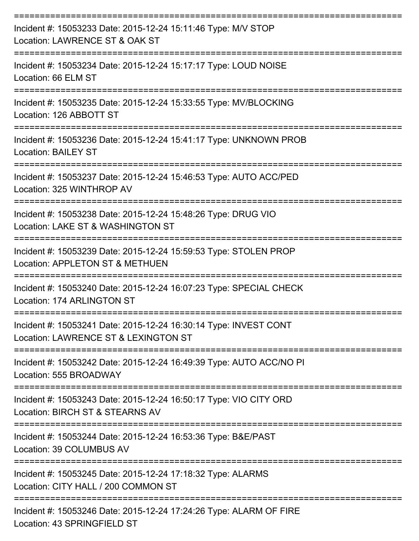| Incident #: 15053233 Date: 2015-12-24 15:11:46 Type: M/V STOP<br>Location: LAWRENCE ST & OAK ST          |
|----------------------------------------------------------------------------------------------------------|
| Incident #: 15053234 Date: 2015-12-24 15:17:17 Type: LOUD NOISE<br>Location: 66 ELM ST                   |
| Incident #: 15053235 Date: 2015-12-24 15:33:55 Type: MV/BLOCKING<br>Location: 126 ABBOTT ST              |
| Incident #: 15053236 Date: 2015-12-24 15:41:17 Type: UNKNOWN PROB<br><b>Location: BAILEY ST</b>          |
| Incident #: 15053237 Date: 2015-12-24 15:46:53 Type: AUTO ACC/PED<br>Location: 325 WINTHROP AV           |
| Incident #: 15053238 Date: 2015-12-24 15:48:26 Type: DRUG VIO<br>Location: LAKE ST & WASHINGTON ST       |
| Incident #: 15053239 Date: 2015-12-24 15:59:53 Type: STOLEN PROP<br>Location: APPLETON ST & METHUEN      |
| Incident #: 15053240 Date: 2015-12-24 16:07:23 Type: SPECIAL CHECK<br>Location: 174 ARLINGTON ST         |
| Incident #: 15053241 Date: 2015-12-24 16:30:14 Type: INVEST CONT<br>Location: LAWRENCE ST & LEXINGTON ST |
| Incident #: 15053242 Date: 2015-12-24 16:49:39 Type: AUTO ACC/NO PI<br>Location: 555 BROADWAY            |
| Incident #: 15053243 Date: 2015-12-24 16:50:17 Type: VIO CITY ORD<br>Location: BIRCH ST & STEARNS AV     |
| Incident #: 15053244 Date: 2015-12-24 16:53:36 Type: B&E/PAST<br>Location: 39 COLUMBUS AV                |
| Incident #: 15053245 Date: 2015-12-24 17:18:32 Type: ALARMS<br>Location: CITY HALL / 200 COMMON ST       |
| Incident #: 15053246 Date: 2015-12-24 17:24:26 Type: ALARM OF FIRE                                       |

Location: 43 SPRINGFIELD ST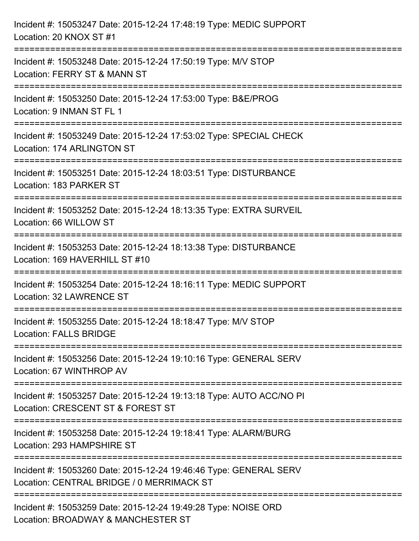| Incident #: 15053247 Date: 2015-12-24 17:48:19 Type: MEDIC SUPPORT<br>Location: 20 KNOX ST #1                                     |
|-----------------------------------------------------------------------------------------------------------------------------------|
| Incident #: 15053248 Date: 2015-12-24 17:50:19 Type: M/V STOP<br>Location: FERRY ST & MANN ST                                     |
| Incident #: 15053250 Date: 2015-12-24 17:53:00 Type: B&E/PROG<br>Location: 9 INMAN ST FL 1                                        |
| Incident #: 15053249 Date: 2015-12-24 17:53:02 Type: SPECIAL CHECK<br>Location: 174 ARLINGTON ST                                  |
| Incident #: 15053251 Date: 2015-12-24 18:03:51 Type: DISTURBANCE<br>Location: 183 PARKER ST<br>:================================= |
| Incident #: 15053252 Date: 2015-12-24 18:13:35 Type: EXTRA SURVEIL<br>Location: 66 WILLOW ST                                      |
| Incident #: 15053253 Date: 2015-12-24 18:13:38 Type: DISTURBANCE<br>Location: 169 HAVERHILL ST #10                                |
| Incident #: 15053254 Date: 2015-12-24 18:16:11 Type: MEDIC SUPPORT<br><b>Location: 32 LAWRENCE ST</b>                             |
| Incident #: 15053255 Date: 2015-12-24 18:18:47 Type: M/V STOP<br><b>Location: FALLS BRIDGE</b>                                    |
| Incident #: 15053256 Date: 2015-12-24 19:10:16 Type: GENERAL SERV<br>Location: 67 WINTHROP AV                                     |
| Incident #: 15053257 Date: 2015-12-24 19:13:18 Type: AUTO ACC/NO PI<br>Location: CRESCENT ST & FOREST ST                          |
| Incident #: 15053258 Date: 2015-12-24 19:18:41 Type: ALARM/BURG<br>Location: 293 HAMPSHIRE ST                                     |
| Incident #: 15053260 Date: 2015-12-24 19:46:46 Type: GENERAL SERV<br>Location: CENTRAL BRIDGE / 0 MERRIMACK ST                    |
| Incident #: 15053259 Date: 2015-12-24 19:49:28 Type: NOISE ORD<br>Location: BROADWAY & MANCHESTER ST                              |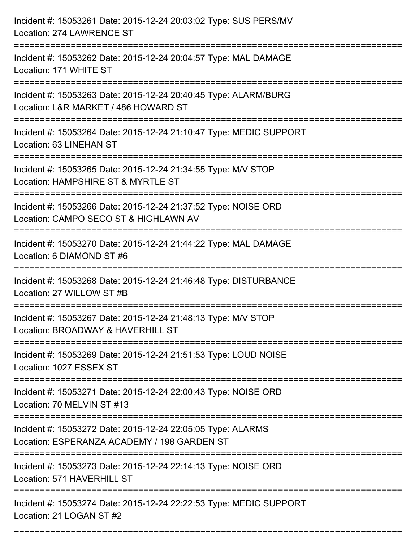| Incident #: 15053261 Date: 2015-12-24 20:03:02 Type: SUS PERS/MV<br>Location: 274 LAWRENCE ST                                         |
|---------------------------------------------------------------------------------------------------------------------------------------|
| Incident #: 15053262 Date: 2015-12-24 20:04:57 Type: MAL DAMAGE<br>Location: 171 WHITE ST                                             |
| Incident #: 15053263 Date: 2015-12-24 20:40:45 Type: ALARM/BURG<br>Location: L&R MARKET / 486 HOWARD ST                               |
| Incident #: 15053264 Date: 2015-12-24 21:10:47 Type: MEDIC SUPPORT<br>Location: 63 LINEHAN ST                                         |
| Incident #: 15053265 Date: 2015-12-24 21:34:55 Type: M/V STOP<br>Location: HAMPSHIRE ST & MYRTLE ST                                   |
| Incident #: 15053266 Date: 2015-12-24 21:37:52 Type: NOISE ORD<br>Location: CAMPO SECO ST & HIGHLAWN AV                               |
| Incident #: 15053270 Date: 2015-12-24 21:44:22 Type: MAL DAMAGE<br>Location: 6 DIAMOND ST #6<br>:==================================== |
| Incident #: 15053268 Date: 2015-12-24 21:46:48 Type: DISTURBANCE<br>Location: 27 WILLOW ST #B                                         |
| Incident #: 15053267 Date: 2015-12-24 21:48:13 Type: M/V STOP<br>Location: BROADWAY & HAVERHILL ST                                    |
| Incident #: 15053269 Date: 2015-12-24 21:51:53 Type: LOUD NOISE<br>Location: 1027 ESSEX ST                                            |
| Incident #: 15053271 Date: 2015-12-24 22:00:43 Type: NOISE ORD<br>Location: 70 MELVIN ST #13                                          |
| Incident #: 15053272 Date: 2015-12-24 22:05:05 Type: ALARMS<br>Location: ESPERANZA ACADEMY / 198 GARDEN ST                            |
| Incident #: 15053273 Date: 2015-12-24 22:14:13 Type: NOISE ORD<br>Location: 571 HAVERHILL ST                                          |
| Incident #: 15053274 Date: 2015-12-24 22:22:53 Type: MEDIC SUPPORT<br>Location: 21 LOGAN ST #2                                        |

===========================================================================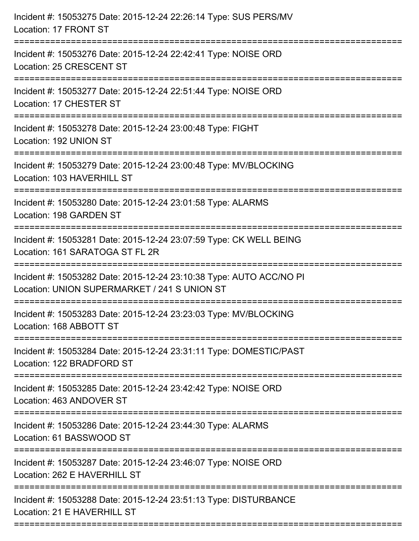| Incident #: 15053275 Date: 2015-12-24 22:26:14 Type: SUS PERS/MV<br>Location: 17 FRONT ST                                    |
|------------------------------------------------------------------------------------------------------------------------------|
| Incident #: 15053276 Date: 2015-12-24 22:42:41 Type: NOISE ORD<br>Location: 25 CRESCENT ST                                   |
| Incident #: 15053277 Date: 2015-12-24 22:51:44 Type: NOISE ORD<br>Location: 17 CHESTER ST<br>:======================         |
| Incident #: 15053278 Date: 2015-12-24 23:00:48 Type: FIGHT<br>Location: 192 UNION ST                                         |
| Incident #: 15053279 Date: 2015-12-24 23:00:48 Type: MV/BLOCKING<br>Location: 103 HAVERHILL ST<br>-------------------------- |
| Incident #: 15053280 Date: 2015-12-24 23:01:58 Type: ALARMS<br>Location: 198 GARDEN ST                                       |
| Incident #: 15053281 Date: 2015-12-24 23:07:59 Type: CK WELL BEING<br>Location: 161 SARATOGA ST FL 2R<br>============        |
| Incident #: 15053282 Date: 2015-12-24 23:10:38 Type: AUTO ACC/NO PI<br>Location: UNION SUPERMARKET / 241 S UNION ST          |
| Incident #: 15053283 Date: 2015-12-24 23:23:03 Type: MV/BLOCKING<br>Location: 168 ABBOTT ST<br>----------------              |
| Incident #: 15053284 Date: 2015-12-24 23:31:11 Type: DOMESTIC/PAST<br>Location: 122 BRADFORD ST                              |
| Incident #: 15053285 Date: 2015-12-24 23:42:42 Type: NOISE ORD<br>Location: 463 ANDOVER ST                                   |
| Incident #: 15053286 Date: 2015-12-24 23:44:30 Type: ALARMS<br>Location: 61 BASSWOOD ST                                      |
| Incident #: 15053287 Date: 2015-12-24 23:46:07 Type: NOISE ORD<br>Location: 262 E HAVERHILL ST                               |
| Incident #: 15053288 Date: 2015-12-24 23:51:13 Type: DISTURBANCE<br>Location: 21 E HAVERHILL ST                              |